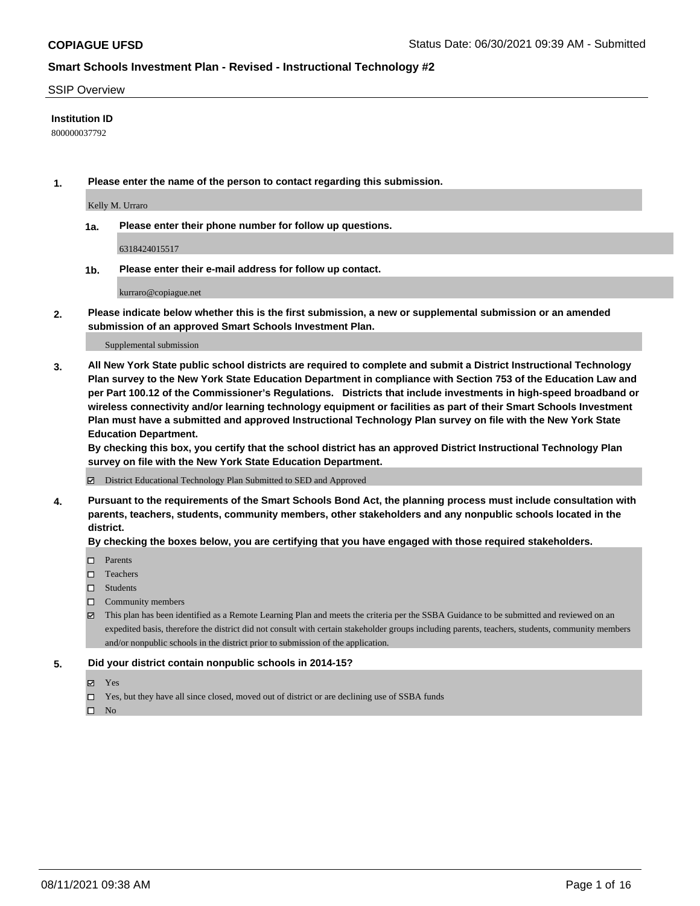#### SSIP Overview

#### **Institution ID**

800000037792

**1. Please enter the name of the person to contact regarding this submission.**

Kelly M. Urraro

**1a. Please enter their phone number for follow up questions.**

6318424015517

**1b. Please enter their e-mail address for follow up contact.**

kurraro@copiague.net

**2. Please indicate below whether this is the first submission, a new or supplemental submission or an amended submission of an approved Smart Schools Investment Plan.**

#### Supplemental submission

**3. All New York State public school districts are required to complete and submit a District Instructional Technology Plan survey to the New York State Education Department in compliance with Section 753 of the Education Law and per Part 100.12 of the Commissioner's Regulations. Districts that include investments in high-speed broadband or wireless connectivity and/or learning technology equipment or facilities as part of their Smart Schools Investment Plan must have a submitted and approved Instructional Technology Plan survey on file with the New York State Education Department.** 

**By checking this box, you certify that the school district has an approved District Instructional Technology Plan survey on file with the New York State Education Department.**

District Educational Technology Plan Submitted to SED and Approved

**4. Pursuant to the requirements of the Smart Schools Bond Act, the planning process must include consultation with parents, teachers, students, community members, other stakeholders and any nonpublic schools located in the district.** 

#### **By checking the boxes below, you are certifying that you have engaged with those required stakeholders.**

- □ Parents
- □ Teachers
- □ Students
- $\Box$  Community members
- This plan has been identified as a Remote Learning Plan and meets the criteria per the SSBA Guidance to be submitted and reviewed on an expedited basis, therefore the district did not consult with certain stakeholder groups including parents, teachers, students, community members and/or nonpublic schools in the district prior to submission of the application.
- **5. Did your district contain nonpublic schools in 2014-15?**
	- Yes
	- □ Yes, but they have all since closed, moved out of district or are declining use of SSBA funds

 $\hfill \square$  No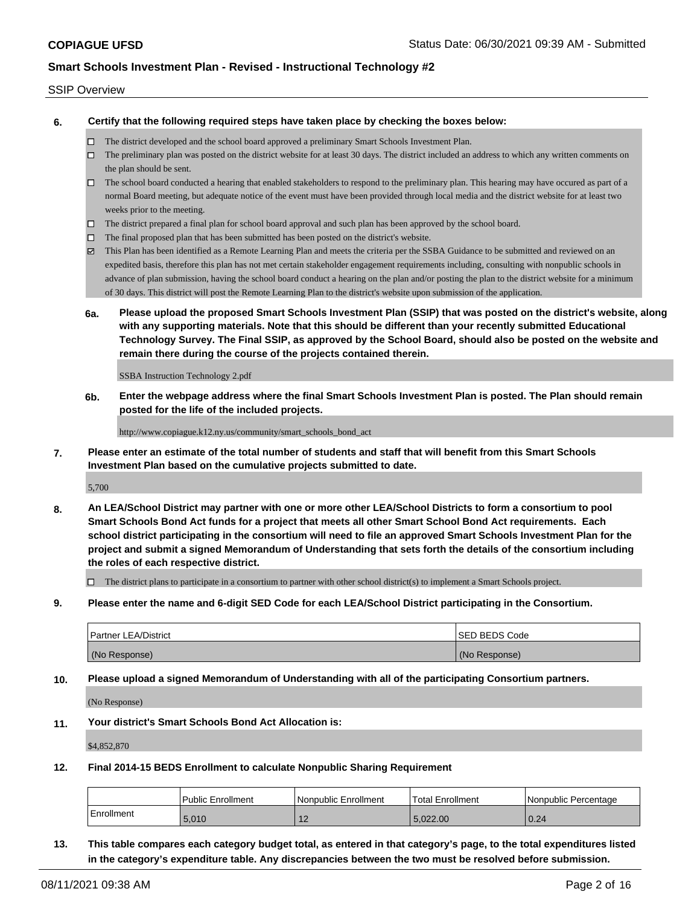#### SSIP Overview

**6. Certify that the following required steps have taken place by checking the boxes below:**

- The district developed and the school board approved a preliminary Smart Schools Investment Plan.
- $\Box$  The preliminary plan was posted on the district website for at least 30 days. The district included an address to which any written comments on the plan should be sent.
- The school board conducted a hearing that enabled stakeholders to respond to the preliminary plan. This hearing may have occured as part of a normal Board meeting, but adequate notice of the event must have been provided through local media and the district website for at least two weeks prior to the meeting.
- $\Box$  The district prepared a final plan for school board approval and such plan has been approved by the school board.
- $\Box$  The final proposed plan that has been submitted has been posted on the district's website.
- This Plan has been identified as a Remote Learning Plan and meets the criteria per the SSBA Guidance to be submitted and reviewed on an expedited basis, therefore this plan has not met certain stakeholder engagement requirements including, consulting with nonpublic schools in advance of plan submission, having the school board conduct a hearing on the plan and/or posting the plan to the district website for a minimum of 30 days. This district will post the Remote Learning Plan to the district's website upon submission of the application.
- **6a. Please upload the proposed Smart Schools Investment Plan (SSIP) that was posted on the district's website, along with any supporting materials. Note that this should be different than your recently submitted Educational Technology Survey. The Final SSIP, as approved by the School Board, should also be posted on the website and remain there during the course of the projects contained therein.**

SSBA Instruction Technology 2.pdf

**6b. Enter the webpage address where the final Smart Schools Investment Plan is posted. The Plan should remain posted for the life of the included projects.**

http://www.copiague.k12.ny.us/community/smart\_schools\_bond\_act

**7. Please enter an estimate of the total number of students and staff that will benefit from this Smart Schools Investment Plan based on the cumulative projects submitted to date.**

5,700

**8. An LEA/School District may partner with one or more other LEA/School Districts to form a consortium to pool Smart Schools Bond Act funds for a project that meets all other Smart School Bond Act requirements. Each school district participating in the consortium will need to file an approved Smart Schools Investment Plan for the project and submit a signed Memorandum of Understanding that sets forth the details of the consortium including the roles of each respective district.**

 $\Box$  The district plans to participate in a consortium to partner with other school district(s) to implement a Smart Schools project.

**9. Please enter the name and 6-digit SED Code for each LEA/School District participating in the Consortium.**

| <b>Partner LEA/District</b> | <b>ISED BEDS Code</b> |
|-----------------------------|-----------------------|
| (No Response)               | (No Response)         |

**10. Please upload a signed Memorandum of Understanding with all of the participating Consortium partners.**

(No Response)

**11. Your district's Smart Schools Bond Act Allocation is:**

\$4,852,870

**12. Final 2014-15 BEDS Enrollment to calculate Nonpublic Sharing Requirement**

|            | <b>Public Enrollment</b> | l Nonpublic Enrollment | Total Enrollment | INonpublic Percentage |
|------------|--------------------------|------------------------|------------------|-----------------------|
| Enrollment | 5.010                    | . .                    | 5.022.00         | 0.24                  |

**13. This table compares each category budget total, as entered in that category's page, to the total expenditures listed in the category's expenditure table. Any discrepancies between the two must be resolved before submission.**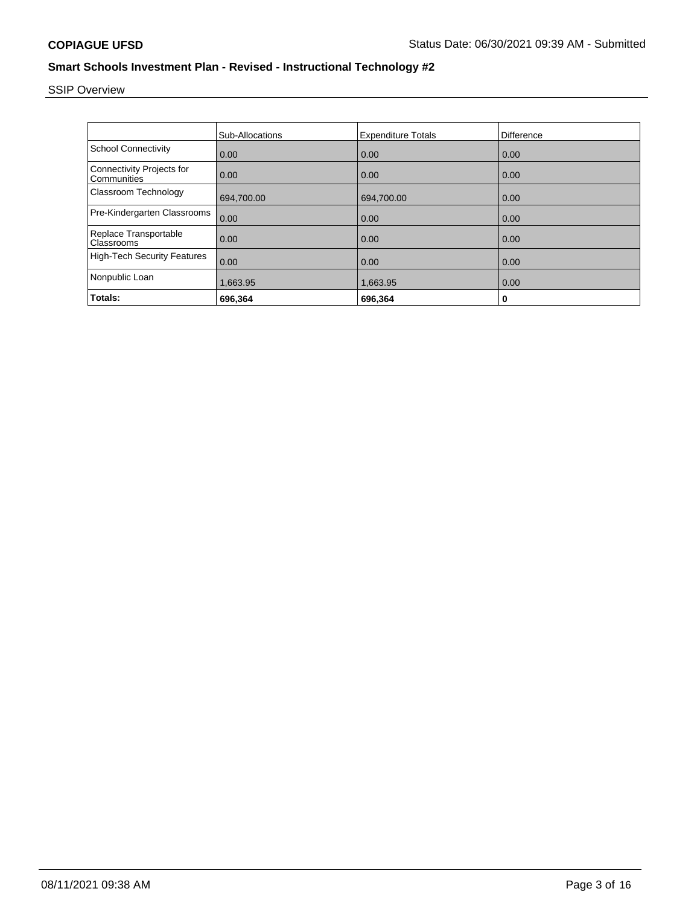# SSIP Overview

|                                          | Sub-Allocations | <b>Expenditure Totals</b> | Difference |
|------------------------------------------|-----------------|---------------------------|------------|
| <b>School Connectivity</b>               | 0.00            | 0.00                      | 0.00       |
| Connectivity Projects for<br>Communities | 0.00            | 0.00                      | 0.00       |
| Classroom Technology                     | 694,700.00      | 694,700.00                | 0.00       |
| Pre-Kindergarten Classrooms              | 0.00            | 0.00                      | 0.00       |
| Replace Transportable<br>Classrooms      | 0.00            | 0.00                      | 0.00       |
| <b>High-Tech Security Features</b>       | 0.00            | 0.00                      | 0.00       |
| Nonpublic Loan                           | 1,663.95        | 1,663.95                  | 0.00       |
| Totals:                                  | 696,364         | 696,364                   | 0          |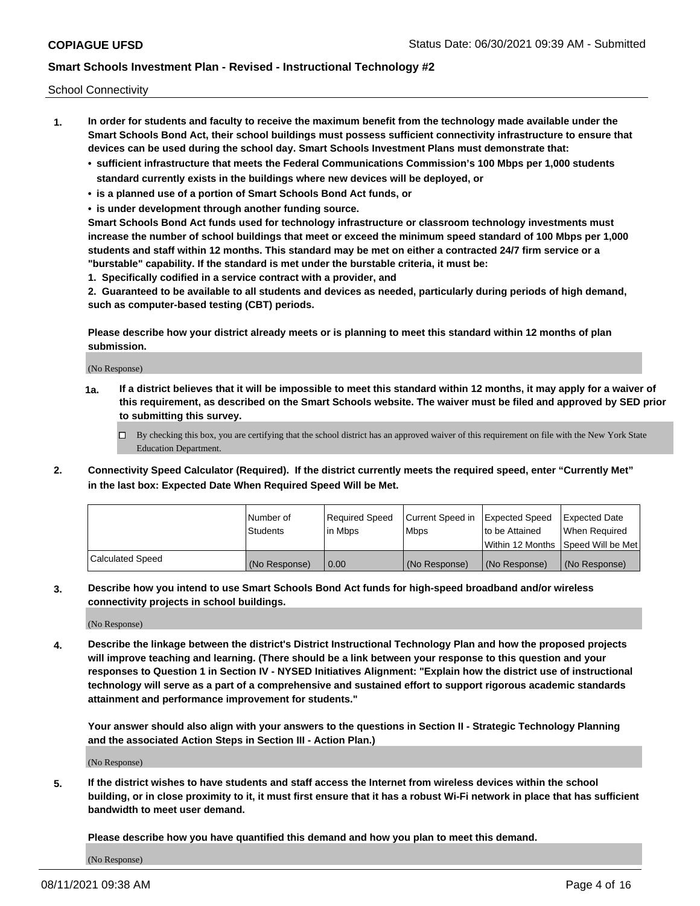School Connectivity

- **1. In order for students and faculty to receive the maximum benefit from the technology made available under the Smart Schools Bond Act, their school buildings must possess sufficient connectivity infrastructure to ensure that devices can be used during the school day. Smart Schools Investment Plans must demonstrate that:**
	- **• sufficient infrastructure that meets the Federal Communications Commission's 100 Mbps per 1,000 students standard currently exists in the buildings where new devices will be deployed, or**
	- **• is a planned use of a portion of Smart Schools Bond Act funds, or**
	- **• is under development through another funding source.**

**Smart Schools Bond Act funds used for technology infrastructure or classroom technology investments must increase the number of school buildings that meet or exceed the minimum speed standard of 100 Mbps per 1,000 students and staff within 12 months. This standard may be met on either a contracted 24/7 firm service or a "burstable" capability. If the standard is met under the burstable criteria, it must be:**

**1. Specifically codified in a service contract with a provider, and**

**2. Guaranteed to be available to all students and devices as needed, particularly during periods of high demand, such as computer-based testing (CBT) periods.**

**Please describe how your district already meets or is planning to meet this standard within 12 months of plan submission.**

(No Response)

**1a. If a district believes that it will be impossible to meet this standard within 12 months, it may apply for a waiver of this requirement, as described on the Smart Schools website. The waiver must be filed and approved by SED prior to submitting this survey.**

 $\Box$  By checking this box, you are certifying that the school district has an approved waiver of this requirement on file with the New York State Education Department.

**2. Connectivity Speed Calculator (Required). If the district currently meets the required speed, enter "Currently Met" in the last box: Expected Date When Required Speed Will be Met.**

|                  | l Number of     | Required Speed | Current Speed in | Expected Speed | Expected Date                        |
|------------------|-----------------|----------------|------------------|----------------|--------------------------------------|
|                  | <b>Students</b> | In Mbps        | <b>Mbps</b>      | to be Attained | When Required                        |
|                  |                 |                |                  |                | Within 12 Months 1Speed Will be Met1 |
| Calculated Speed | (No Response)   | 0.00           | (No Response)    | (No Response)  | l (No Response)                      |

**3. Describe how you intend to use Smart Schools Bond Act funds for high-speed broadband and/or wireless connectivity projects in school buildings.**

(No Response)

**4. Describe the linkage between the district's District Instructional Technology Plan and how the proposed projects will improve teaching and learning. (There should be a link between your response to this question and your responses to Question 1 in Section IV - NYSED Initiatives Alignment: "Explain how the district use of instructional technology will serve as a part of a comprehensive and sustained effort to support rigorous academic standards attainment and performance improvement for students."** 

**Your answer should also align with your answers to the questions in Section II - Strategic Technology Planning and the associated Action Steps in Section III - Action Plan.)**

(No Response)

**5. If the district wishes to have students and staff access the Internet from wireless devices within the school building, or in close proximity to it, it must first ensure that it has a robust Wi-Fi network in place that has sufficient bandwidth to meet user demand.**

**Please describe how you have quantified this demand and how you plan to meet this demand.**

(No Response)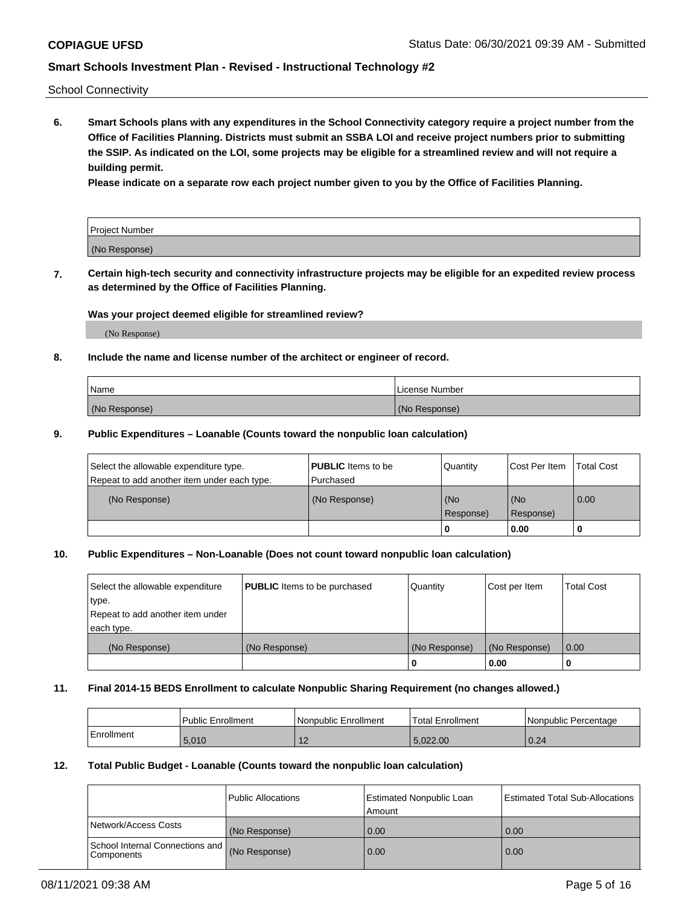School Connectivity

**6. Smart Schools plans with any expenditures in the School Connectivity category require a project number from the Office of Facilities Planning. Districts must submit an SSBA LOI and receive project numbers prior to submitting the SSIP. As indicated on the LOI, some projects may be eligible for a streamlined review and will not require a building permit.**

**Please indicate on a separate row each project number given to you by the Office of Facilities Planning.**

| Project Number |  |
|----------------|--|
| (No Response)  |  |

**7. Certain high-tech security and connectivity infrastructure projects may be eligible for an expedited review process as determined by the Office of Facilities Planning.**

#### **Was your project deemed eligible for streamlined review?**

(No Response)

### **8. Include the name and license number of the architect or engineer of record.**

| Name          | License Number |
|---------------|----------------|
| (No Response) | (No Response)  |

#### **9. Public Expenditures – Loanable (Counts toward the nonpublic loan calculation)**

| Select the allowable expenditure type.<br>Repeat to add another item under each type. | <b>PUBLIC</b> Items to be<br>l Purchased | Quantity         | l Cost Per Item  | <b>Total Cost</b> |
|---------------------------------------------------------------------------------------|------------------------------------------|------------------|------------------|-------------------|
| (No Response)                                                                         | (No Response)                            | (No<br>Response) | (No<br>Response) | 0.00              |
|                                                                                       |                                          | 0                | 0.00             |                   |

### **10. Public Expenditures – Non-Loanable (Does not count toward nonpublic loan calculation)**

| Select the allowable expenditure | <b>PUBLIC</b> Items to be purchased | Quantity      | Cost per Item | <b>Total Cost</b> |
|----------------------------------|-------------------------------------|---------------|---------------|-------------------|
| type.                            |                                     |               |               |                   |
| Repeat to add another item under |                                     |               |               |                   |
| each type.                       |                                     |               |               |                   |
| (No Response)                    | (No Response)                       | (No Response) | (No Response) | 0.00              |
|                                  |                                     |               | 0.00          |                   |

#### **11. Final 2014-15 BEDS Enrollment to calculate Nonpublic Sharing Requirement (no changes allowed.)**

|            | Public Enrollment | l Nonpublic Enrollment | <b>Total Enrollment</b> | Nonpublic Percentage |
|------------|-------------------|------------------------|-------------------------|----------------------|
| Enrollment | 5.010             | ╶                      | ,022.00                 | 0.24                 |

#### **12. Total Public Budget - Loanable (Counts toward the nonpublic loan calculation)**

|                                                      | Public Allocations | <b>Estimated Nonpublic Loan</b><br>Amount | Estimated Total Sub-Allocations |
|------------------------------------------------------|--------------------|-------------------------------------------|---------------------------------|
| Network/Access Costs                                 | (No Response)      | 0.00                                      | 0.00                            |
| School Internal Connections and<br><b>Components</b> | (No Response)      | 0.00                                      | 0.00                            |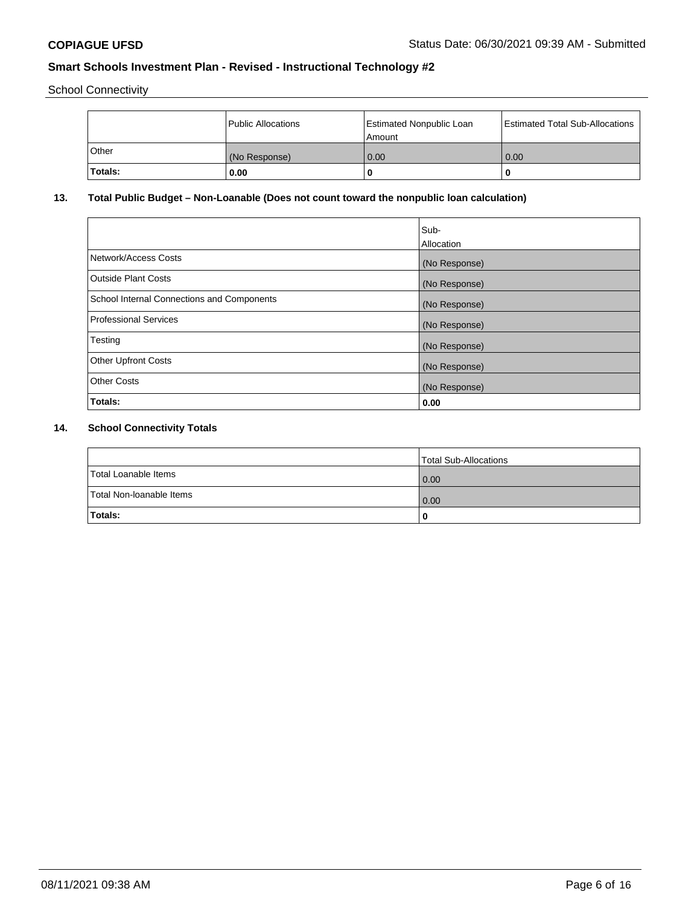School Connectivity

|                | Public Allocations | <b>Estimated Nonpublic Loan</b><br>l Amount | <b>Estimated Total Sub-Allocations</b> |
|----------------|--------------------|---------------------------------------------|----------------------------------------|
| l Other        | (No Response)      | 0.00                                        | 0.00                                   |
| <b>Totals:</b> | 0.00               | 0                                           |                                        |

# **13. Total Public Budget – Non-Loanable (Does not count toward the nonpublic loan calculation)**

|                                            | Sub-<br>Allocation |
|--------------------------------------------|--------------------|
| Network/Access Costs                       | (No Response)      |
| <b>Outside Plant Costs</b>                 | (No Response)      |
| School Internal Connections and Components | (No Response)      |
| Professional Services                      | (No Response)      |
| Testing                                    | (No Response)      |
| <b>Other Upfront Costs</b>                 | (No Response)      |
| <b>Other Costs</b>                         | (No Response)      |
| <b>Totals:</b>                             | 0.00               |
|                                            |                    |

# **14. School Connectivity Totals**

|                          | Total Sub-Allocations |
|--------------------------|-----------------------|
| Total Loanable Items     | 0.00                  |
| Total Non-Ioanable Items | 0.00                  |
| Totals:                  | 0                     |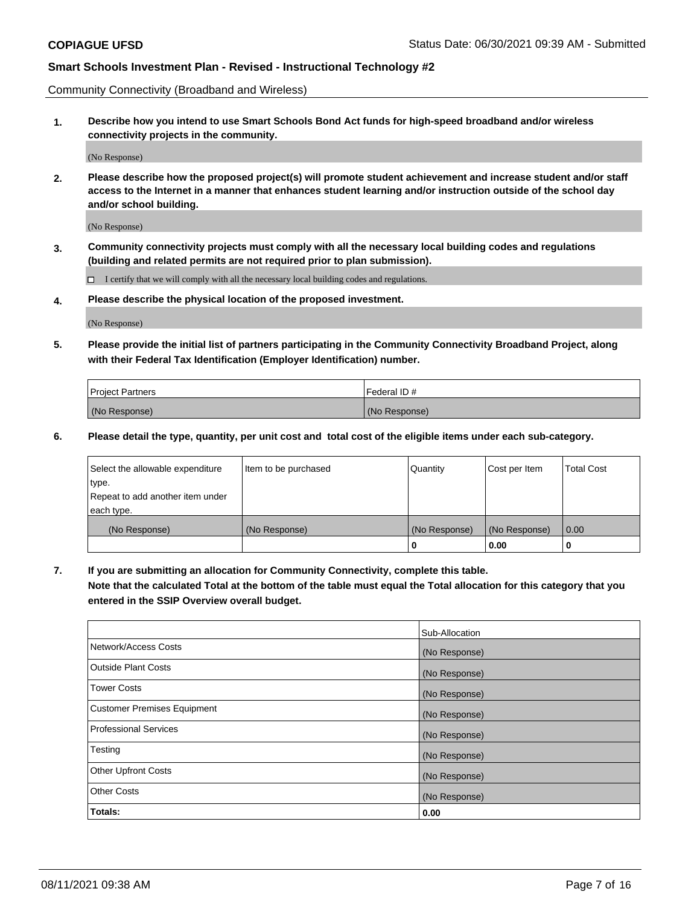Community Connectivity (Broadband and Wireless)

**1. Describe how you intend to use Smart Schools Bond Act funds for high-speed broadband and/or wireless connectivity projects in the community.**

(No Response)

**2. Please describe how the proposed project(s) will promote student achievement and increase student and/or staff access to the Internet in a manner that enhances student learning and/or instruction outside of the school day and/or school building.**

(No Response)

**3. Community connectivity projects must comply with all the necessary local building codes and regulations (building and related permits are not required prior to plan submission).**

 $\Box$  I certify that we will comply with all the necessary local building codes and regulations.

**4. Please describe the physical location of the proposed investment.**

(No Response)

**5. Please provide the initial list of partners participating in the Community Connectivity Broadband Project, along with their Federal Tax Identification (Employer Identification) number.**

| <b>Project Partners</b> | l Federal ID # |
|-------------------------|----------------|
| (No Response)           | (No Response)  |

**6. Please detail the type, quantity, per unit cost and total cost of the eligible items under each sub-category.**

| Select the allowable expenditure | Item to be purchased | Quantity      | Cost per Item | <b>Total Cost</b> |
|----------------------------------|----------------------|---------------|---------------|-------------------|
| type.                            |                      |               |               |                   |
| Repeat to add another item under |                      |               |               |                   |
| each type.                       |                      |               |               |                   |
| (No Response)                    | (No Response)        | (No Response) | (No Response) | 0.00              |
|                                  |                      | U             | 0.00          |                   |

**7. If you are submitting an allocation for Community Connectivity, complete this table.**

**Note that the calculated Total at the bottom of the table must equal the Total allocation for this category that you entered in the SSIP Overview overall budget.**

|                                    | Sub-Allocation |
|------------------------------------|----------------|
| Network/Access Costs               | (No Response)  |
| Outside Plant Costs                | (No Response)  |
| <b>Tower Costs</b>                 | (No Response)  |
| <b>Customer Premises Equipment</b> | (No Response)  |
| <b>Professional Services</b>       | (No Response)  |
| Testing                            | (No Response)  |
| <b>Other Upfront Costs</b>         | (No Response)  |
| <b>Other Costs</b>                 | (No Response)  |
| Totals:                            | 0.00           |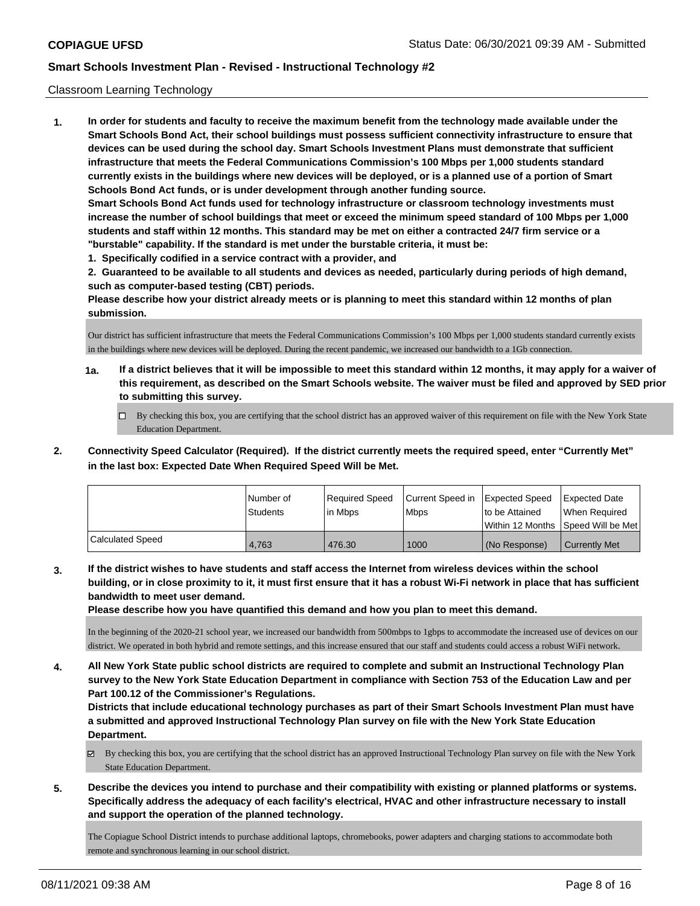### Classroom Learning Technology

**1. In order for students and faculty to receive the maximum benefit from the technology made available under the Smart Schools Bond Act, their school buildings must possess sufficient connectivity infrastructure to ensure that devices can be used during the school day. Smart Schools Investment Plans must demonstrate that sufficient infrastructure that meets the Federal Communications Commission's 100 Mbps per 1,000 students standard currently exists in the buildings where new devices will be deployed, or is a planned use of a portion of Smart Schools Bond Act funds, or is under development through another funding source. Smart Schools Bond Act funds used for technology infrastructure or classroom technology investments must increase the number of school buildings that meet or exceed the minimum speed standard of 100 Mbps per 1,000 students and staff within 12 months. This standard may be met on either a contracted 24/7 firm service or a "burstable" capability. If the standard is met under the burstable criteria, it must be:**

**1. Specifically codified in a service contract with a provider, and**

**2. Guaranteed to be available to all students and devices as needed, particularly during periods of high demand, such as computer-based testing (CBT) periods.**

**Please describe how your district already meets or is planning to meet this standard within 12 months of plan submission.**

Our district has sufficient infrastructure that meets the Federal Communications Commission's 100 Mbps per 1,000 students standard currently exists in the buildings where new devices will be deployed. During the recent pandemic, we increased our bandwidth to a 1Gb connection.

- **1a. If a district believes that it will be impossible to meet this standard within 12 months, it may apply for a waiver of this requirement, as described on the Smart Schools website. The waiver must be filed and approved by SED prior to submitting this survey.**
	- By checking this box, you are certifying that the school district has an approved waiver of this requirement on file with the New York State Education Department.
- **2. Connectivity Speed Calculator (Required). If the district currently meets the required speed, enter "Currently Met" in the last box: Expected Date When Required Speed Will be Met.**

|                         | l Number of<br><b>Students</b> | Required Speed<br>l in Mbps | Current Speed in<br>l Mbps | <b>Expected Speed</b><br>to be Attained | <b>Expected Date</b><br>When Required<br> Within 12 Months  Speed Will be Met |
|-------------------------|--------------------------------|-----------------------------|----------------------------|-----------------------------------------|-------------------------------------------------------------------------------|
| <b>Calculated Speed</b> | 4.763                          | 476.30                      | 1000                       | l (No Response)                         | <b>Currently Met</b>                                                          |

**3. If the district wishes to have students and staff access the Internet from wireless devices within the school building, or in close proximity to it, it must first ensure that it has a robust Wi-Fi network in place that has sufficient bandwidth to meet user demand.**

**Please describe how you have quantified this demand and how you plan to meet this demand.**

In the beginning of the 2020-21 school year, we increased our bandwidth from 500mbps to 1gbps to accommodate the increased use of devices on our district. We operated in both hybrid and remote settings, and this increase ensured that our staff and students could access a robust WiFi network.

**4. All New York State public school districts are required to complete and submit an Instructional Technology Plan survey to the New York State Education Department in compliance with Section 753 of the Education Law and per Part 100.12 of the Commissioner's Regulations.**

**Districts that include educational technology purchases as part of their Smart Schools Investment Plan must have a submitted and approved Instructional Technology Plan survey on file with the New York State Education Department.**

- By checking this box, you are certifying that the school district has an approved Instructional Technology Plan survey on file with the New York State Education Department.
- **5. Describe the devices you intend to purchase and their compatibility with existing or planned platforms or systems. Specifically address the adequacy of each facility's electrical, HVAC and other infrastructure necessary to install and support the operation of the planned technology.**

The Copiague School District intends to purchase additional laptops, chromebooks, power adapters and charging stations to accommodate both remote and synchronous learning in our school district.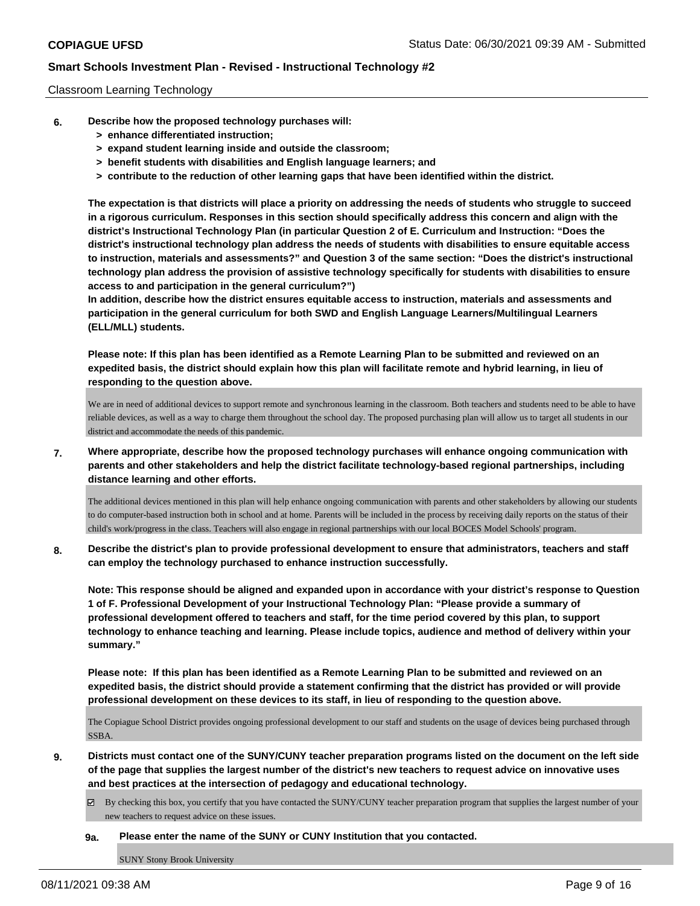### Classroom Learning Technology

- **6. Describe how the proposed technology purchases will:**
	- **> enhance differentiated instruction;**
	- **> expand student learning inside and outside the classroom;**
	- **> benefit students with disabilities and English language learners; and**
	- **> contribute to the reduction of other learning gaps that have been identified within the district.**

**The expectation is that districts will place a priority on addressing the needs of students who struggle to succeed in a rigorous curriculum. Responses in this section should specifically address this concern and align with the district's Instructional Technology Plan (in particular Question 2 of E. Curriculum and Instruction: "Does the district's instructional technology plan address the needs of students with disabilities to ensure equitable access to instruction, materials and assessments?" and Question 3 of the same section: "Does the district's instructional technology plan address the provision of assistive technology specifically for students with disabilities to ensure access to and participation in the general curriculum?")**

**In addition, describe how the district ensures equitable access to instruction, materials and assessments and participation in the general curriculum for both SWD and English Language Learners/Multilingual Learners (ELL/MLL) students.**

**Please note: If this plan has been identified as a Remote Learning Plan to be submitted and reviewed on an expedited basis, the district should explain how this plan will facilitate remote and hybrid learning, in lieu of responding to the question above.**

We are in need of additional devices to support remote and synchronous learning in the classroom. Both teachers and students need to be able to have reliable devices, as well as a way to charge them throughout the school day. The proposed purchasing plan will allow us to target all students in our district and accommodate the needs of this pandemic.

**7. Where appropriate, describe how the proposed technology purchases will enhance ongoing communication with parents and other stakeholders and help the district facilitate technology-based regional partnerships, including distance learning and other efforts.**

The additional devices mentioned in this plan will help enhance ongoing communication with parents and other stakeholders by allowing our students to do computer-based instruction both in school and at home. Parents will be included in the process by receiving daily reports on the status of their child's work/progress in the class. Teachers will also engage in regional partnerships with our local BOCES Model Schools' program.

**8. Describe the district's plan to provide professional development to ensure that administrators, teachers and staff can employ the technology purchased to enhance instruction successfully.**

**Note: This response should be aligned and expanded upon in accordance with your district's response to Question 1 of F. Professional Development of your Instructional Technology Plan: "Please provide a summary of professional development offered to teachers and staff, for the time period covered by this plan, to support technology to enhance teaching and learning. Please include topics, audience and method of delivery within your summary."**

**Please note: If this plan has been identified as a Remote Learning Plan to be submitted and reviewed on an expedited basis, the district should provide a statement confirming that the district has provided or will provide professional development on these devices to its staff, in lieu of responding to the question above.**

The Copiague School District provides ongoing professional development to our staff and students on the usage of devices being purchased through SSBA.

- **9. Districts must contact one of the SUNY/CUNY teacher preparation programs listed on the document on the left side of the page that supplies the largest number of the district's new teachers to request advice on innovative uses and best practices at the intersection of pedagogy and educational technology.**
	- By checking this box, you certify that you have contacted the SUNY/CUNY teacher preparation program that supplies the largest number of your new teachers to request advice on these issues.

#### **9a. Please enter the name of the SUNY or CUNY Institution that you contacted.**

SUNY Stony Brook University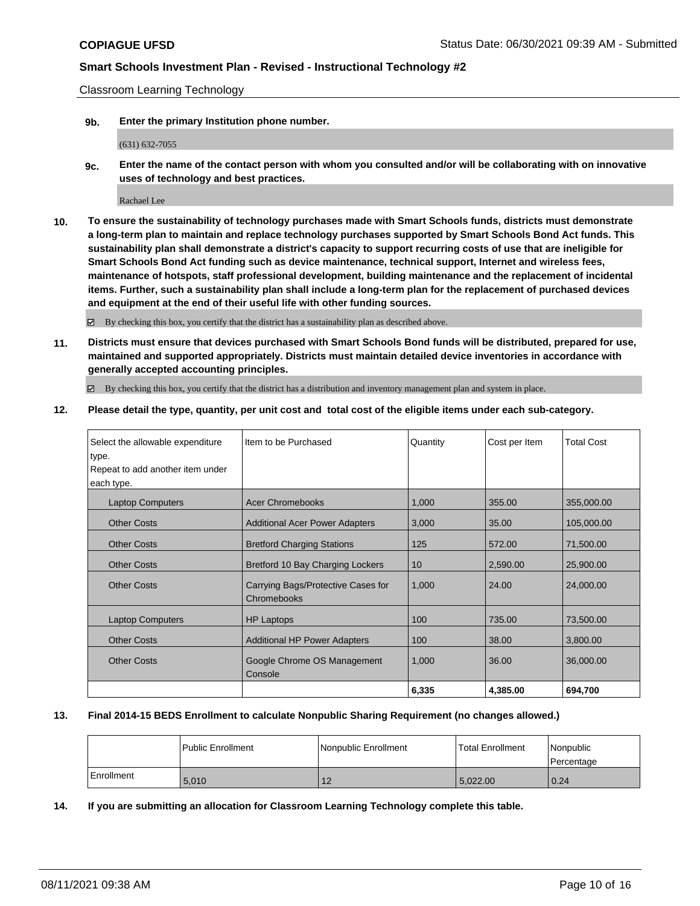Classroom Learning Technology

**9b. Enter the primary Institution phone number.**

(631) 632-7055

**9c. Enter the name of the contact person with whom you consulted and/or will be collaborating with on innovative uses of technology and best practices.**

Rachael Lee

**10. To ensure the sustainability of technology purchases made with Smart Schools funds, districts must demonstrate a long-term plan to maintain and replace technology purchases supported by Smart Schools Bond Act funds. This sustainability plan shall demonstrate a district's capacity to support recurring costs of use that are ineligible for Smart Schools Bond Act funding such as device maintenance, technical support, Internet and wireless fees, maintenance of hotspots, staff professional development, building maintenance and the replacement of incidental items. Further, such a sustainability plan shall include a long-term plan for the replacement of purchased devices and equipment at the end of their useful life with other funding sources.**

By checking this box, you certify that the district has a sustainability plan as described above.

**11. Districts must ensure that devices purchased with Smart Schools Bond funds will be distributed, prepared for use, maintained and supported appropriately. Districts must maintain detailed device inventories in accordance with generally accepted accounting principles.**

By checking this box, you certify that the district has a distribution and inventory management plan and system in place.

**12. Please detail the type, quantity, per unit cost and total cost of the eligible items under each sub-category.**

| Select the allowable expenditure | I Item to be Purchased                            | Quantity | Cost per Item | <b>Total Cost</b> |
|----------------------------------|---------------------------------------------------|----------|---------------|-------------------|
| type.                            |                                                   |          |               |                   |
| Repeat to add another item under |                                                   |          |               |                   |
| each type.                       |                                                   |          |               |                   |
| <b>Laptop Computers</b>          | <b>Acer Chromebooks</b>                           | 1,000    | 355.00        | 355,000.00        |
| <b>Other Costs</b>               | <b>Additional Acer Power Adapters</b>             | 3,000    | 35.00         | 105,000.00        |
| <b>Other Costs</b>               | <b>Bretford Charging Stations</b>                 | 125      | 572.00        | 71,500.00         |
| <b>Other Costs</b>               | Bretford 10 Bay Charging Lockers                  | 10       | 2,590.00      | 25,900.00         |
| <b>Other Costs</b>               | Carrying Bags/Protective Cases for<br>Chromebooks | 1,000    | 24.00         | 24,000.00         |
| <b>Laptop Computers</b>          | <b>HP Laptops</b>                                 | 100      | 735.00        | 73,500.00         |
| <b>Other Costs</b>               | <b>Additional HP Power Adapters</b>               | 100      | 38.00         | 3,800.00          |
| <b>Other Costs</b>               | Google Chrome OS Management<br>Console            | 1,000    | 36.00         | 36,000.00         |
|                                  |                                                   | 6,335    | 4,385.00      | 694,700           |

### **13. Final 2014-15 BEDS Enrollment to calculate Nonpublic Sharing Requirement (no changes allowed.)**

|            | l Public Enrollment | Nonpublic Enrollment | <b>Total Enrollment</b> | Nonpublic<br>l Percentage |
|------------|---------------------|----------------------|-------------------------|---------------------------|
| Enrollment | 5.010               | 12                   | 5.022.00                | 0.24                      |

**14. If you are submitting an allocation for Classroom Learning Technology complete this table.**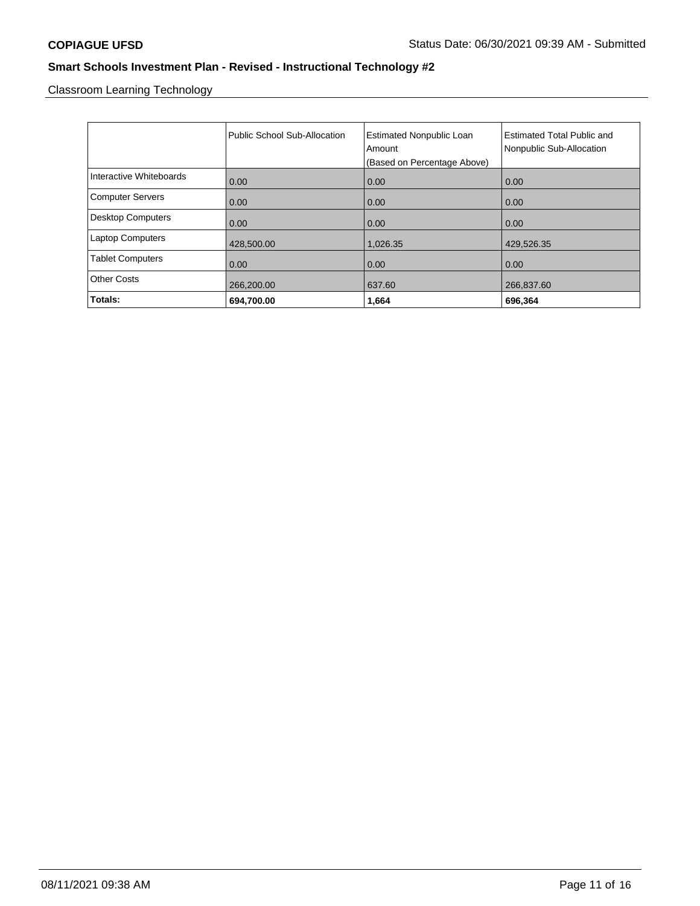Classroom Learning Technology

|                          | Public School Sub-Allocation | <b>Estimated Nonpublic Loan</b><br>Amount<br>(Based on Percentage Above) | Estimated Total Public and<br>Nonpublic Sub-Allocation |
|--------------------------|------------------------------|--------------------------------------------------------------------------|--------------------------------------------------------|
| Interactive Whiteboards  | 0.00                         | 0.00                                                                     | 0.00                                                   |
| <b>Computer Servers</b>  | 0.00                         | 0.00                                                                     | 0.00                                                   |
| <b>Desktop Computers</b> | 0.00                         | 0.00                                                                     | 0.00                                                   |
| <b>Laptop Computers</b>  | 428,500.00                   | 1,026.35                                                                 | 429,526.35                                             |
| <b>Tablet Computers</b>  | 0.00                         | 0.00                                                                     | 0.00                                                   |
| <b>Other Costs</b>       | 266,200.00                   | 637.60                                                                   | 266,837.60                                             |
| Totals:                  | 694,700.00                   | 1,664                                                                    | 696,364                                                |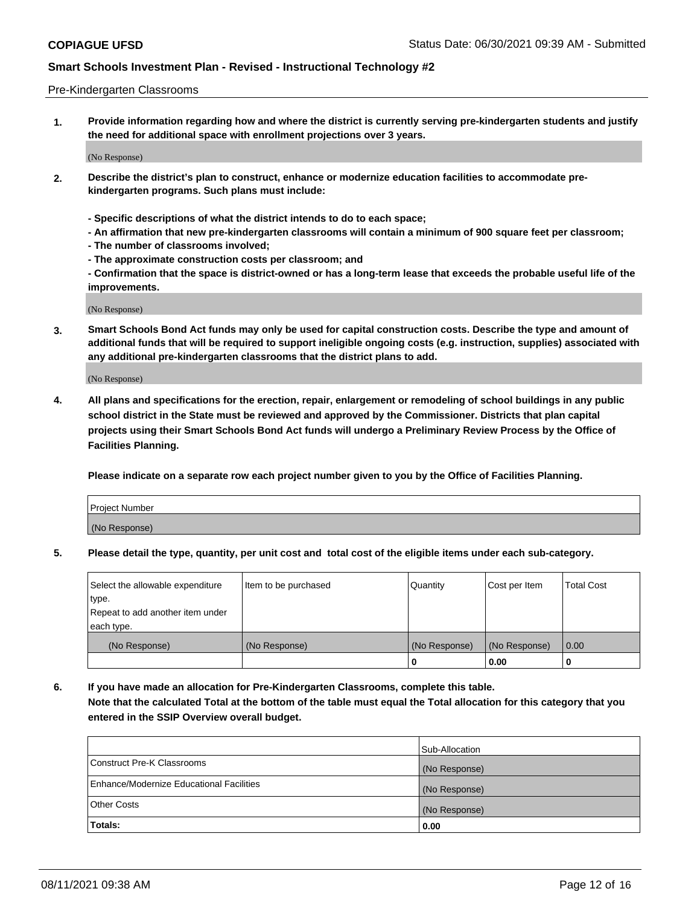#### Pre-Kindergarten Classrooms

**1. Provide information regarding how and where the district is currently serving pre-kindergarten students and justify the need for additional space with enrollment projections over 3 years.**

(No Response)

- **2. Describe the district's plan to construct, enhance or modernize education facilities to accommodate prekindergarten programs. Such plans must include:**
	- **Specific descriptions of what the district intends to do to each space;**
	- **An affirmation that new pre-kindergarten classrooms will contain a minimum of 900 square feet per classroom;**
	- **The number of classrooms involved;**
	- **The approximate construction costs per classroom; and**
	- **Confirmation that the space is district-owned or has a long-term lease that exceeds the probable useful life of the improvements.**

(No Response)

**3. Smart Schools Bond Act funds may only be used for capital construction costs. Describe the type and amount of additional funds that will be required to support ineligible ongoing costs (e.g. instruction, supplies) associated with any additional pre-kindergarten classrooms that the district plans to add.**

(No Response)

**4. All plans and specifications for the erection, repair, enlargement or remodeling of school buildings in any public school district in the State must be reviewed and approved by the Commissioner. Districts that plan capital projects using their Smart Schools Bond Act funds will undergo a Preliminary Review Process by the Office of Facilities Planning.**

**Please indicate on a separate row each project number given to you by the Office of Facilities Planning.**

| Project Number |  |
|----------------|--|
| (No Response)  |  |
|                |  |

**5. Please detail the type, quantity, per unit cost and total cost of the eligible items under each sub-category.**

| Select the allowable expenditure | Item to be purchased | Quantity      | Cost per Item | <b>Total Cost</b> |
|----------------------------------|----------------------|---------------|---------------|-------------------|
| type.                            |                      |               |               |                   |
| Repeat to add another item under |                      |               |               |                   |
| each type.                       |                      |               |               |                   |
| (No Response)                    | (No Response)        | (No Response) | (No Response) | 0.00              |
|                                  |                      | υ             | 0.00          |                   |

**6. If you have made an allocation for Pre-Kindergarten Classrooms, complete this table. Note that the calculated Total at the bottom of the table must equal the Total allocation for this category that you entered in the SSIP Overview overall budget.**

|                                          | Sub-Allocation |
|------------------------------------------|----------------|
| Construct Pre-K Classrooms               | (No Response)  |
| Enhance/Modernize Educational Facilities | (No Response)  |
| <b>Other Costs</b>                       | (No Response)  |
| Totals:                                  | 0.00           |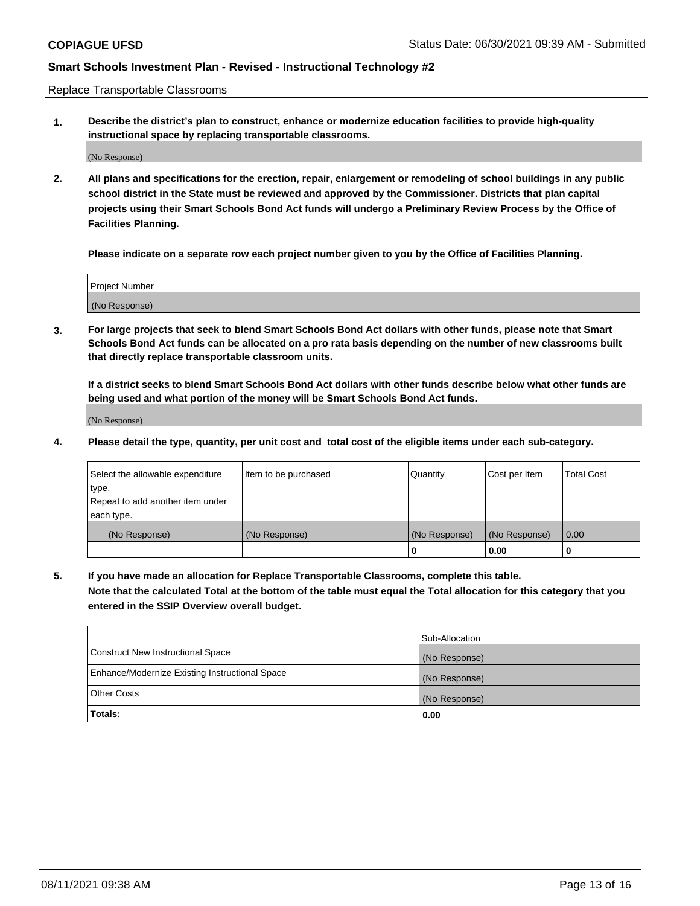Replace Transportable Classrooms

**1. Describe the district's plan to construct, enhance or modernize education facilities to provide high-quality instructional space by replacing transportable classrooms.**

(No Response)

**2. All plans and specifications for the erection, repair, enlargement or remodeling of school buildings in any public school district in the State must be reviewed and approved by the Commissioner. Districts that plan capital projects using their Smart Schools Bond Act funds will undergo a Preliminary Review Process by the Office of Facilities Planning.**

**Please indicate on a separate row each project number given to you by the Office of Facilities Planning.**

| Project Number |  |
|----------------|--|
|                |  |
| (No Response)  |  |

**3. For large projects that seek to blend Smart Schools Bond Act dollars with other funds, please note that Smart Schools Bond Act funds can be allocated on a pro rata basis depending on the number of new classrooms built that directly replace transportable classroom units.**

**If a district seeks to blend Smart Schools Bond Act dollars with other funds describe below what other funds are being used and what portion of the money will be Smart Schools Bond Act funds.**

(No Response)

**4. Please detail the type, quantity, per unit cost and total cost of the eligible items under each sub-category.**

| Select the allowable expenditure | Item to be purchased | Quantity      | Cost per Item | Total Cost |
|----------------------------------|----------------------|---------------|---------------|------------|
| ∣type.                           |                      |               |               |            |
| Repeat to add another item under |                      |               |               |            |
| each type.                       |                      |               |               |            |
| (No Response)                    | (No Response)        | (No Response) | (No Response) | 0.00       |
|                                  |                      | u             | 0.00          |            |

**5. If you have made an allocation for Replace Transportable Classrooms, complete this table. Note that the calculated Total at the bottom of the table must equal the Total allocation for this category that you entered in the SSIP Overview overall budget.**

|                                                | Sub-Allocation |
|------------------------------------------------|----------------|
| Construct New Instructional Space              | (No Response)  |
| Enhance/Modernize Existing Instructional Space | (No Response)  |
| Other Costs                                    | (No Response)  |
| Totals:                                        | 0.00           |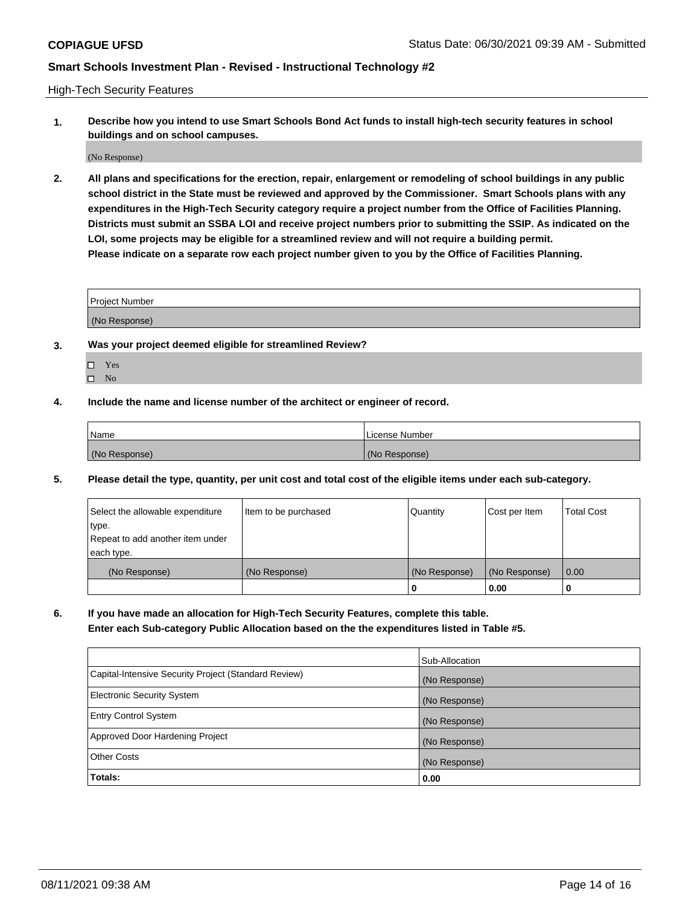High-Tech Security Features

**1. Describe how you intend to use Smart Schools Bond Act funds to install high-tech security features in school buildings and on school campuses.**

(No Response)

**2. All plans and specifications for the erection, repair, enlargement or remodeling of school buildings in any public school district in the State must be reviewed and approved by the Commissioner. Smart Schools plans with any expenditures in the High-Tech Security category require a project number from the Office of Facilities Planning. Districts must submit an SSBA LOI and receive project numbers prior to submitting the SSIP. As indicated on the LOI, some projects may be eligible for a streamlined review and will not require a building permit. Please indicate on a separate row each project number given to you by the Office of Facilities Planning.**

| <b>Project Number</b> |  |
|-----------------------|--|
|                       |  |
| (No Response)         |  |

- **3. Was your project deemed eligible for streamlined Review?**
	- Yes
	- $\hfill \square$  No
- **4. Include the name and license number of the architect or engineer of record.**

| Name          | License Number |
|---------------|----------------|
| (No Response) | (No Response)  |

**5. Please detail the type, quantity, per unit cost and total cost of the eligible items under each sub-category.**

| Select the allowable expenditure | Item to be purchased | Quantity      | Cost per Item | <b>Total Cost</b> |
|----------------------------------|----------------------|---------------|---------------|-------------------|
| type.                            |                      |               |               |                   |
| Repeat to add another item under |                      |               |               |                   |
| each type.                       |                      |               |               |                   |
| (No Response)                    | (No Response)        | (No Response) | (No Response) | 0.00              |
|                                  |                      | 0             | 0.00          |                   |

**6. If you have made an allocation for High-Tech Security Features, complete this table.**

**Enter each Sub-category Public Allocation based on the the expenditures listed in Table #5.**

|                                                      | Sub-Allocation |
|------------------------------------------------------|----------------|
| Capital-Intensive Security Project (Standard Review) | (No Response)  |
| <b>Electronic Security System</b>                    | (No Response)  |
| <b>Entry Control System</b>                          | (No Response)  |
| Approved Door Hardening Project                      | (No Response)  |
| <b>Other Costs</b>                                   | (No Response)  |
| Totals:                                              | 0.00           |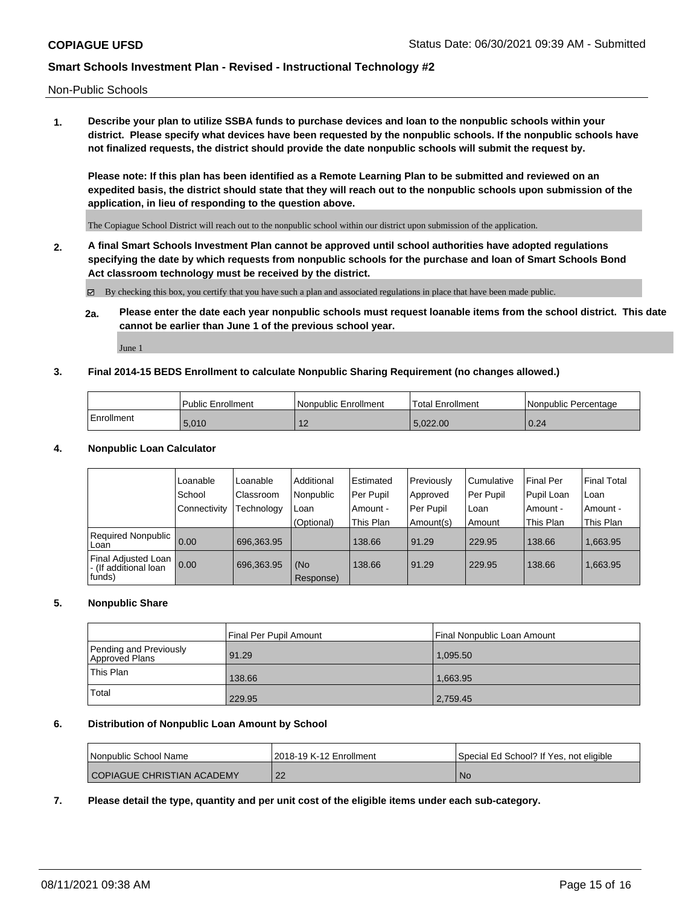Non-Public Schools

**1. Describe your plan to utilize SSBA funds to purchase devices and loan to the nonpublic schools within your district. Please specify what devices have been requested by the nonpublic schools. If the nonpublic schools have not finalized requests, the district should provide the date nonpublic schools will submit the request by.**

**Please note: If this plan has been identified as a Remote Learning Plan to be submitted and reviewed on an expedited basis, the district should state that they will reach out to the nonpublic schools upon submission of the application, in lieu of responding to the question above.**

The Copiague School District will reach out to the nonpublic school within our district upon submission of the application.

**2. A final Smart Schools Investment Plan cannot be approved until school authorities have adopted regulations specifying the date by which requests from nonpublic schools for the purchase and loan of Smart Schools Bond Act classroom technology must be received by the district.**

By checking this box, you certify that you have such a plan and associated regulations in place that have been made public.

**2a. Please enter the date each year nonpublic schools must request loanable items from the school district. This date cannot be earlier than June 1 of the previous school year.**

June 1

#### **3. Final 2014-15 BEDS Enrollment to calculate Nonpublic Sharing Requirement (no changes allowed.)**

|            | Public Enrollment | Nonpublic Enrollment | Total Enrollment | Nonpublic Percentage |
|------------|-------------------|----------------------|------------------|----------------------|
| Enrollment | 5.010             | . .                  | 5.022.00         | 0.24                 |

#### **4. Nonpublic Loan Calculator**

|                                                        | Loanable       | Loanable   | Additional       | Estimated | Previously | l Cumulative | <b>Final Per</b> | <b>Final Total</b> |
|--------------------------------------------------------|----------------|------------|------------------|-----------|------------|--------------|------------------|--------------------|
|                                                        | School         | Classroom  | Nonpublic        | Per Pupil | Approved   | Per Pupil    | Pupil Loan       | Loan               |
|                                                        | l Connectivity | Technology | Loan             | Amount -  | Per Pupil  | l Loan       | Amount -         | Amount -           |
|                                                        |                |            | (Optional)       | This Plan | Amount(s)  | Amount       | This Plan        | This Plan          |
| Required Nonpublic 0.00<br>Loan                        |                | 696.363.95 |                  | 138.66    | 91.29      | 229.95       | 138.66           | 1,663.95           |
| Final Adjusted Loan<br>- (If additional loan<br>funds) | 0.00           | 696,363.95 | (No<br>Response) | 138.66    | 91.29      | 229.95       | 138.66           | 1,663.95           |

### **5. Nonpublic Share**

|                                          | Final Per Pupil Amount | l Final Nonpublic Loan Amount |
|------------------------------------------|------------------------|-------------------------------|
| Pending and Previously<br>Approved Plans | 91.29                  | 1,095.50                      |
| <b>This Plan</b>                         | 138.66                 | 1.663.95                      |
| Total                                    | 229.95                 | 2,759.45                      |

#### **6. Distribution of Nonpublic Loan Amount by School**

| l Nonpublic School Name    | 2018-19 K-12 Enrollment | Special Ed School? If Yes, not eligible |
|----------------------------|-------------------------|-----------------------------------------|
| COPIAGUE CHRISTIAN ACADEMY | $\sim$<br>22            | No.                                     |

**7. Please detail the type, quantity and per unit cost of the eligible items under each sub-category.**